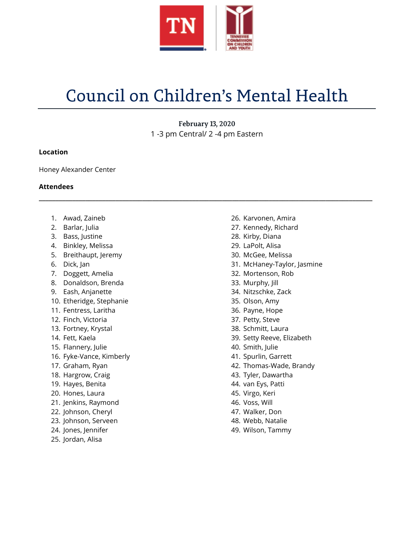

# Council on Children's Mental Health

February 13, 2020 1 -3 pm Central/ 2 -4 pm Eastern

**\_\_\_\_\_\_\_\_\_\_\_\_\_\_\_\_\_\_\_\_\_\_\_\_\_\_\_\_\_\_\_\_\_\_\_\_\_\_\_\_\_\_\_\_\_\_\_\_\_\_\_\_\_\_\_\_\_\_\_\_\_\_\_\_\_\_\_\_\_\_\_\_\_\_\_\_\_\_\_\_\_\_\_\_\_\_\_\_\_\_\_\_\_\_\_\_\_\_\_\_**

### **Location**

Honey Alexander Center

### **Attendees**

- 1. Awad, Zaineb
- 2. Barlar, Julia
- 3. Bass, Justine
- 4. Binkley, Melissa
- 5. Breithaupt, Jeremy
- 6. Dick, Jan
- 7. Doggett, Amelia
- 8. Donaldson, Brenda
- 9. Eash, Anjanette
- 10. Etheridge, Stephanie
- 11. Fentress, Laritha
- 12. Finch, Victoria
- 13. Fortney, Krystal
- 14. Fett, Kaela
- 15. Flannery, Julie
- 16. Fyke-Vance, Kimberly
- 17. Graham, Ryan
- 18. Hargrow, Craig
- 19. Hayes, Benita
- 20. Hones, Laura
- 21. Jenkins, Raymond
- 22. Johnson, Cheryl
- 23. Johnson, Serveen
- 24. Jones, Jennifer
- 25. Jordan, Alisa
- 26. Karvonen, Amira
- 27. Kennedy, Richard
- 28. Kirby, Diana
- 29. LaPolt, Alisa
- 30. McGee, Melissa
- 31. McHaney-Taylor, Jasmine
- 32. Mortenson, Rob
- 33. Murphy, Jill
- 34. Nitzschke, Zack
- 35. Olson, Amy
- 36. Payne, Hope
- 37. Petty, Steve
- 38. Schmitt, Laura
- 39. Setty Reeve, Elizabeth
- 40. Smith, Julie
- 41. Spurlin, Garrett
- 42. Thomas-Wade, Brandy
- 43. Tyler, Dawartha
- 44. van Eys, Patti
- 45. Virgo, Keri
- 46. Voss, Will
- 47. Walker, Don
- 48. Webb, Natalie
- 49. Wilson, Tammy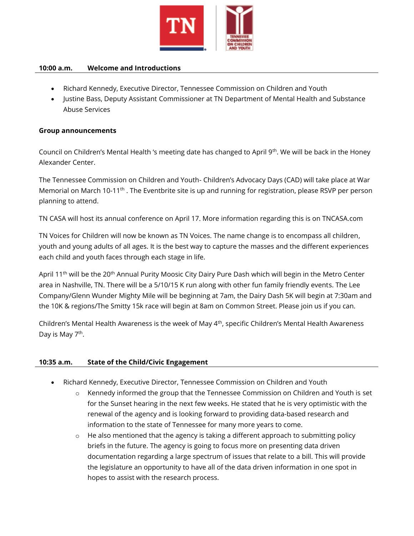

#### **10:00 a.m. Welcome and Introductions**

- Richard Kennedy, Executive Director, Tennessee Commission on Children and Youth
- Justine Bass, Deputy Assistant Commissioner at TN Department of Mental Health and Substance Abuse Services

#### **Group announcements**

Council on Children's Mental Health 's meeting date has changed to April 9<sup>th</sup>. We will be back in the Honey Alexander Center.

The Tennessee Commission on Children and Youth- Children's Advocacy Days (CAD) will take place at War Memorial on March 10-11<sup>th</sup>. The Eventbrite site is up and running for registration, please RSVP per person planning to attend.

TN CASA will host its annual conference on April 17. More information regarding this is on TNCASA.com

TN Voices for Children will now be known as TN Voices. The name change is to encompass all children, youth and young adults of all ages. It is the best way to capture the masses and the different experiences each child and youth faces through each stage in life.

April 11<sup>th</sup> will be the 20<sup>th</sup> Annual Purity Moosic City Dairy Pure Dash which will begin in the Metro Center area in Nashville, TN. There will be a 5/10/15 K run along with other fun family friendly events. The Lee Company/Glenn Wunder Mighty Mile will be beginning at 7am, the Dairy Dash 5K will begin at 7:30am and the 10K & regions/The Smitty 15k race will begin at 8am on Common Street. Please join us if you can.

Children's Mental Health Awareness is the week of May 4<sup>th</sup>, specific Children's Mental Health Awareness Day is May 7<sup>th</sup>.

#### **10:35 a.m. State of the Child/Civic Engagement**

- Richard Kennedy, Executive Director, Tennessee Commission on Children and Youth
	- o Kennedy informed the group that the Tennessee Commission on Children and Youth is set for the Sunset hearing in the next few weeks. He stated that he is very optimistic with the renewal of the agency and is looking forward to providing data-based research and information to the state of Tennessee for many more years to come.
	- o He also mentioned that the agency is taking a different approach to submitting policy briefs in the future. The agency is going to focus more on presenting data driven documentation regarding a large spectrum of issues that relate to a bill. This will provide the legislature an opportunity to have all of the data driven information in one spot in hopes to assist with the research process.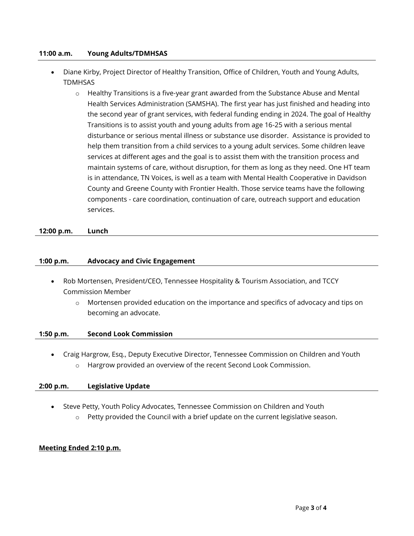#### **11:00 a.m. Young Adults/TDMHSAS**

- Diane Kirby, Project Director of Healthy Transition, Office of Children, Youth and Young Adults, TDMHSAS
	- $\circ$  Healthy Transitions is a five-year grant awarded from the Substance Abuse and Mental Health Services Administration (SAMSHA). The first year has just finished and heading into the second year of grant services, with federal funding ending in 2024. The goal of Healthy Transitions is to assist youth and young adults from age 16-25 with a serious mental disturbance or serious mental illness or substance use disorder. Assistance is provided to help them transition from a child services to a young adult services. Some children leave services at different ages and the goal is to assist them with the transition process and maintain systems of care, without disruption, for them as long as they need. One HT team is in attendance, TN Voices, is well as a team with Mental Health Cooperative in Davidson County and Greene County with Frontier Health. Those service teams have the following components - care coordination, continuation of care, outreach support and education services.

**12:00 p.m. Lunch**

#### **1:00 p.m. Advocacy and Civic Engagement**

- Rob Mortensen, President/CEO, Tennessee Hospitality & Tourism Association, and TCCY Commission Member
	- o Mortensen provided education on the importance and specifics of advocacy and tips on becoming an advocate.

#### **1:50 p.m. Second Look Commission**

• Craig Hargrow, Esq., Deputy Executive Director, Tennessee Commission on Children and Youth o Hargrow provided an overview of the recent Second Look Commission.

#### **2:00 p.m. Legislative Update**

- Steve Petty, Youth Policy Advocates, Tennessee Commission on Children and Youth
	- $\circ$  Petty provided the Council with a brief update on the current legislative season.

## **Meeting Ended 2:10 p.m.**